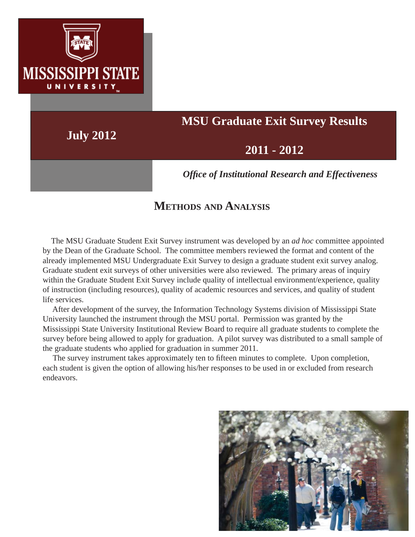

# **MSU Graduate Exit Survey Results**

**July 2012**

## **2011 - 2012**

*Offi ce of Institutional Research and Effectiveness*

## **METHODS AND ANALYSIS**

 The MSU Graduate Student Exit Survey instrument was developed by an *ad hoc* committee appointed by the Dean of the Graduate School. The committee members reviewed the format and content of the already implemented MSU Undergraduate Exit Survey to design a graduate student exit survey analog. Graduate student exit surveys of other universities were also reviewed. The primary areas of inquiry within the Graduate Student Exit Survey include quality of intellectual environment/experience, quality of instruction (including resources), quality of academic resources and services, and quality of student life services.

 After development of the survey, the Information Technology Systems division of Mississippi State University launched the instrument through the MSU portal. Permission was granted by the Mississippi State University Institutional Review Board to require all graduate students to complete the survey before being allowed to apply for graduation. A pilot survey was distributed to a small sample of the graduate students who applied for graduation in summer 2011.

The survey instrument takes approximately ten to fifteen minutes to complete. Upon completion, each student is given the option of allowing his/her responses to be used in or excluded from research endeavors.

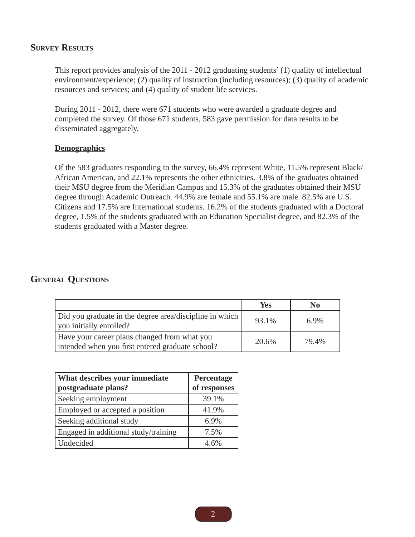#### **SURVEY RESULTS**

This report provides analysis of the 2011 - 2012 graduating students' (1) quality of intellectual environment/experience; (2) quality of instruction (including resources); (3) quality of academic resources and services; and (4) quality of student life services.

During 2011 - 2012, there were 671 students who were awarded a graduate degree and completed the survey. Of those 671 students, 583 gave permission for data results to be disseminated aggregately.

#### **Demographics**

Of the 583 graduates responding to the survey, 66.4% represent White, 11.5% represent Black/ African American, and 22.1% represents the other ethnicities. 3.8% of the graduates obtained their MSU degree from the Meridian Campus and 15.3% of the graduates obtained their MSU degree through Academic Outreach. 44.9% are female and 55.1% are male. 82.5% are U.S. Citizens and 17.5% are International students. 16.2% of the students graduated with a Doctoral degree, 1.5% of the students graduated with an Education Specialist degree, and 82.3% of the students graduated with a Master degree.

#### **GENERAL QUESTIONS**

|                                                                                                  | <b>Yes</b> | No      |
|--------------------------------------------------------------------------------------------------|------------|---------|
| Did you graduate in the degree area/discipline in which<br>you initially enrolled?               | 93.1%      | $6.9\%$ |
| Have your career plans changed from what you<br>intended when you first entered graduate school? | 20.6%      | 79.4%   |

| What describes your immediate<br>postgraduate plans? | Percentage<br>of responses |
|------------------------------------------------------|----------------------------|
| Seeking employment                                   | 39.1%                      |
| Employed or accepted a position                      | 41.9%                      |
| Seeking additional study                             | 6.9%                       |
| Engaged in additional study/training                 | 7.5%                       |
| Undecided                                            | 4.6%                       |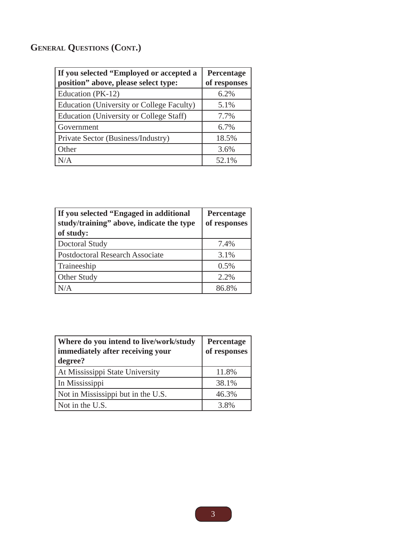## **GENERAL QUESTIONS (CONT.)**

| If you selected "Employed or accepted a<br>position" above, please select type: | Percentage<br>of responses |
|---------------------------------------------------------------------------------|----------------------------|
| Education (PK-12)                                                               | 6.2%                       |
| Education (University or College Faculty)                                       | 5.1%                       |
| Education (University or College Staff)                                         | 7.7%                       |
| Government                                                                      | 6.7%                       |
| Private Sector (Business/Industry)                                              | 18.5%                      |
| Other                                                                           | 3.6%                       |
| N/A                                                                             | 52.1%                      |

| If you selected "Engaged in additional<br>study/training" above, indicate the type<br>of study: | Percentage<br>of responses |
|-------------------------------------------------------------------------------------------------|----------------------------|
| Doctoral Study                                                                                  | 7.4%                       |
| <b>Postdoctoral Research Associate</b>                                                          | 3.1%                       |
| Traineeship                                                                                     | 0.5%                       |
| Other Study                                                                                     | 2.2%                       |
| N/A                                                                                             | 86.8%                      |

| Where do you intend to live/work/study<br>immediately after receiving your<br>degree? | Percentage<br>of responses |
|---------------------------------------------------------------------------------------|----------------------------|
| At Mississippi State University                                                       | 11.8%                      |
| In Mississippi                                                                        | 38.1%                      |
| Not in Mississippi but in the U.S.                                                    | 46.3%                      |
| Not in the U.S.                                                                       | 3.8%                       |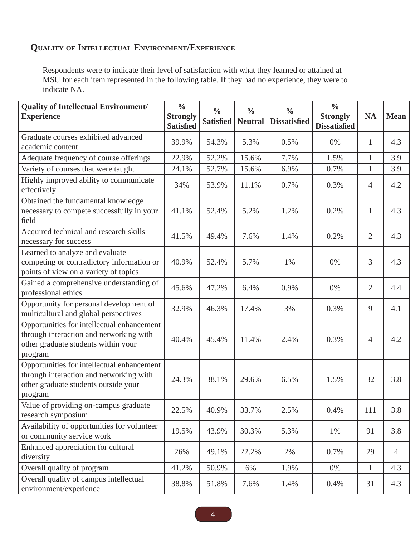### **QUALITY OF INTELLECTUAL ENVIRONMENT/EXPERIENCE**

Respondents were to indicate their level of satisfaction with what they learned or attained at MSU for each item represented in the following table. If they had no experience, they were to indicate NA.

| <b>Quality of Intellectual Environment/</b><br><b>Experience</b>                                                                         | $\frac{0}{0}$<br><b>Strongly</b> | $\frac{0}{0}$<br><b>Satisfied</b> | $\frac{0}{0}$<br><b>Neutral</b> | $\frac{0}{0}$<br><b>Dissatisfied</b> | $\frac{0}{0}$<br><b>Strongly</b> | <b>NA</b>      | <b>Mean</b>    |
|------------------------------------------------------------------------------------------------------------------------------------------|----------------------------------|-----------------------------------|---------------------------------|--------------------------------------|----------------------------------|----------------|----------------|
|                                                                                                                                          | <b>Satisfied</b>                 |                                   |                                 |                                      | <b>Dissatisfied</b>              |                |                |
| Graduate courses exhibited advanced<br>academic content                                                                                  | 39.9%                            | 54.3%                             | 5.3%                            | 0.5%                                 | 0%                               | $\mathbf{1}$   | 4.3            |
| Adequate frequency of course offerings                                                                                                   | 22.9%                            | 52.2%                             | 15.6%                           | 7.7%                                 | 1.5%                             | $\mathbf{1}$   | 3.9            |
| Variety of courses that were taught                                                                                                      | 24.1%                            | 52.7%                             | 15.6%                           | 6.9%                                 | 0.7%                             | $\mathbf{1}$   | 3.9            |
| Highly improved ability to communicate<br>effectively                                                                                    | 34%                              | 53.9%                             | 11.1%                           | 0.7%                                 | 0.3%                             | 4              | 4.2            |
| Obtained the fundamental knowledge<br>necessary to compete successfully in your<br>field                                                 | 41.1%                            | 52.4%                             | 5.2%                            | 1.2%                                 | 0.2%                             | $\mathbf{1}$   | 4.3            |
| Acquired technical and research skills<br>necessary for success                                                                          | 41.5%                            | 49.4%                             | 7.6%                            | 1.4%                                 | 0.2%                             | $\overline{2}$ | 4.3            |
| Learned to analyze and evaluate<br>competing or contradictory information or<br>points of view on a variety of topics                    | 40.9%                            | 52.4%                             | 5.7%                            | 1%                                   | 0%                               | 3              | 4.3            |
| Gained a comprehensive understanding of<br>professional ethics                                                                           | 45.6%                            | 47.2%                             | 6.4%                            | 0.9%                                 | 0%                               | $\overline{2}$ | 4.4            |
| Opportunity for personal development of<br>multicultural and global perspectives                                                         | 32.9%                            | 46.3%                             | 17.4%                           | 3%                                   | 0.3%                             | 9              | 4.1            |
| Opportunities for intellectual enhancement<br>through interaction and networking with<br>other graduate students within your<br>program  | 40.4%                            | 45.4%                             | 11.4%                           | 2.4%                                 | 0.3%                             | $\overline{4}$ | 4.2            |
| Opportunities for intellectual enhancement<br>through interaction and networking with<br>other graduate students outside your<br>program | 24.3%                            | 38.1%                             | 29.6%                           | 6.5%                                 | 1.5%                             | 32             | 3.8            |
| Value of providing on-campus graduate<br>research symposium                                                                              | 22.5%                            | 40.9%                             | 33.7%                           | 2.5%                                 | 0.4%                             | 111            | 3.8            |
| Availability of opportunities for volunteer<br>or community service work                                                                 | 19.5%                            | 43.9%                             | 30.3%                           | 5.3%                                 | 1%                               | 91             | 3.8            |
| Enhanced appreciation for cultural<br>diversity                                                                                          | 26%                              | 49.1%                             | 22.2%                           | 2%                                   | 0.7%                             | 29             | $\overline{4}$ |
| Overall quality of program                                                                                                               | 41.2%                            | 50.9%                             | 6%                              | 1.9%                                 | 0%                               | $\mathbf{1}$   | 4.3            |
| Overall quality of campus intellectual<br>environment/experience                                                                         | 38.8%                            | 51.8%                             | 7.6%                            | 1.4%                                 | 0.4%                             | 31             | 4.3            |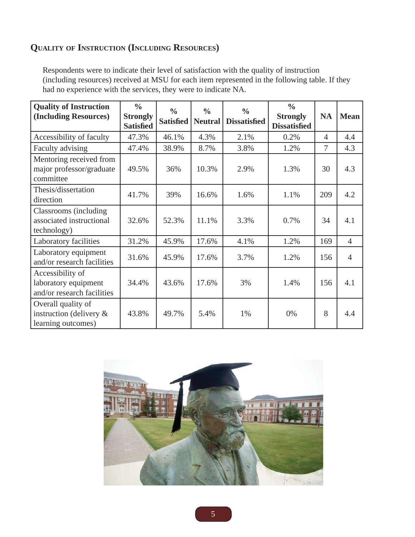### **QUALITY OF INSTRUCTION (INCLUDING RESOURCES)**

Respondents were to indicate their level of satisfaction with the quality of instruction (including resources) received at MSU for each item represented in the following table. If they had no experience with the services, they were to indicate NA.

| <b>Quality of Instruction</b><br>(Including Resources)                 | $\frac{0}{0}$<br><b>Strongly</b><br><b>Satisfied</b> | $\frac{0}{0}$<br><b>Satisfied</b> | $\frac{0}{0}$<br><b>Neutral</b> | $\frac{0}{0}$<br><b>Dissatisfied</b> | $\frac{0}{0}$<br><b>Strongly</b><br><b>Dissatisfied</b> | <b>NA</b>      | <b>Mean</b>    |
|------------------------------------------------------------------------|------------------------------------------------------|-----------------------------------|---------------------------------|--------------------------------------|---------------------------------------------------------|----------------|----------------|
| Accessibility of faculty                                               | 47.3%                                                | 46.1%                             | 4.3%                            | 2.1%                                 | 0.2%                                                    | $\overline{4}$ | 4.4            |
| Faculty advising                                                       | 47.4%                                                | 38.9%                             | 8.7%                            | 3.8%                                 | 1.2%                                                    | 7              | 4.3            |
| Mentoring received from<br>major professor/graduate<br>committee       | 49.5%                                                | 36%                               | 10.3%                           | 2.9%                                 | 1.3%                                                    | 30             | 4.3            |
| Thesis/dissertation<br>direction                                       | 41.7%                                                | 39%                               | 16.6%                           | 1.6%                                 | 1.1%                                                    | 209            | 4.2            |
| Classrooms (including)<br>associated instructional<br>technology)      | 32.6%                                                | 52.3%                             | 11.1%                           | 3.3%                                 | 0.7%                                                    | 34             | 4.1            |
| Laboratory facilities                                                  | 31.2%                                                | 45.9%                             | 17.6%                           | 4.1%                                 | 1.2%                                                    | 169            | $\overline{4}$ |
| Laboratory equipment<br>and/or research facilities                     | 31.6%                                                | 45.9%                             | 17.6%                           | 3.7%                                 | 1.2%                                                    | 156            | $\overline{4}$ |
| Accessibility of<br>laboratory equipment<br>and/or research facilities | 34.4%                                                | 43.6%                             | 17.6%                           | 3%                                   | 1.4%                                                    | 156            | 4.1            |
| Overall quality of<br>instruction (delivery $\&$<br>learning outcomes) | 43.8%                                                | 49.7%                             | 5.4%                            | 1%                                   | 0%                                                      | 8              | 4.4            |

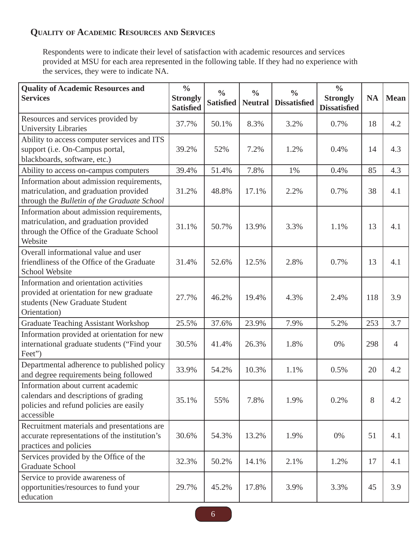## **QUALITY OF ACADEMIC RESOURCES AND SERVICES**

Respondents were to indicate their level of satisfaction with academic resources and services provided at MSU for each area represented in the following table. If they had no experience with the services, they were to indicate NA.

| <b>Quality of Academic Resources and</b><br><b>Services</b>                                                                                 | $\frac{0}{0}$<br><b>Strongly</b><br><b>Satisfied</b> | $\frac{0}{0}$<br><b>Satisfied</b> | $\frac{0}{0}$<br><b>Neutral</b> | $\frac{0}{0}$<br><b>Dissatisfied</b> | $\frac{0}{0}$<br><b>Strongly</b><br><b>Dissatisfied</b> | <b>NA</b> | <b>Mean</b>    |
|---------------------------------------------------------------------------------------------------------------------------------------------|------------------------------------------------------|-----------------------------------|---------------------------------|--------------------------------------|---------------------------------------------------------|-----------|----------------|
| Resources and services provided by<br><b>University Libraries</b>                                                                           | 37.7%                                                | 50.1%                             | 8.3%                            | 3.2%                                 | 0.7%                                                    | 18        | 4.2            |
| Ability to access computer services and ITS<br>support (i.e. On-Campus portal,<br>blackboards, software, etc.)                              | 39.2%                                                | 52%                               | 7.2%                            | 1.2%                                 | 0.4%                                                    | 14        | 4.3            |
| Ability to access on-campus computers                                                                                                       | 39.4%                                                | 51.4%                             | 7.8%                            | 1%                                   | 0.4%                                                    | 85        | 4.3            |
| Information about admission requirements,<br>matriculation, and graduation provided<br>through the Bulletin of the Graduate School          | 31.2%                                                | 48.8%                             | 17.1%                           | 2.2%                                 | 0.7%                                                    | 38        | 4.1            |
| Information about admission requirements,<br>matriculation, and graduation provided<br>through the Office of the Graduate School<br>Website | 31.1%                                                | 50.7%                             | 13.9%                           | 3.3%                                 | 1.1%                                                    | 13        | 4.1            |
| Overall informational value and user<br>friendliness of the Office of the Graduate<br><b>School Website</b>                                 | 31.4%                                                | 52.6%                             | 12.5%                           | 2.8%                                 | 0.7%                                                    | 13        | 4.1            |
| Information and orientation activities<br>provided at orientation for new graduate<br>students (New Graduate Student<br>Orientation)        | 27.7%                                                | 46.2%                             | 19.4%                           | 4.3%                                 | 2.4%                                                    | 118       | 3.9            |
| <b>Graduate Teaching Assistant Workshop</b>                                                                                                 | 25.5%                                                | 37.6%                             | 23.9%                           | 7.9%                                 | 5.2%                                                    | 253       | 3.7            |
| Information provided at orientation for new<br>international graduate students ("Find your<br>Feet")                                        | 30.5%                                                | 41.4%                             | 26.3%                           | 1.8%                                 | 0%                                                      | 298       | $\overline{4}$ |
| Departmental adherence to published policy<br>and degree requirements being followed                                                        | 33.9%                                                | 54.2%                             | 10.3%                           | 1.1%                                 | 0.5%                                                    | 20        | 4.2            |
| Information about current academic<br>calendars and descriptions of grading<br>policies and refund policies are easily<br>accessible        | 35.1%                                                | 55%                               | 7.8%                            | 1.9%                                 | 0.2%                                                    | 8         | 4.2            |
| Recruitment materials and presentations are<br>accurate representations of the institution's<br>practices and policies                      | 30.6%                                                | 54.3%                             | 13.2%                           | 1.9%                                 | 0%                                                      | 51        | 4.1            |
| Services provided by the Office of the<br><b>Graduate School</b>                                                                            | 32.3%                                                | 50.2%                             | 14.1%                           | 2.1%                                 | 1.2%                                                    | 17        | 4.1            |
| Service to provide awareness of<br>opportunities/resources to fund your<br>education                                                        | 29.7%                                                | 45.2%                             | 17.8%                           | 3.9%                                 | 3.3%                                                    | 45        | 3.9            |